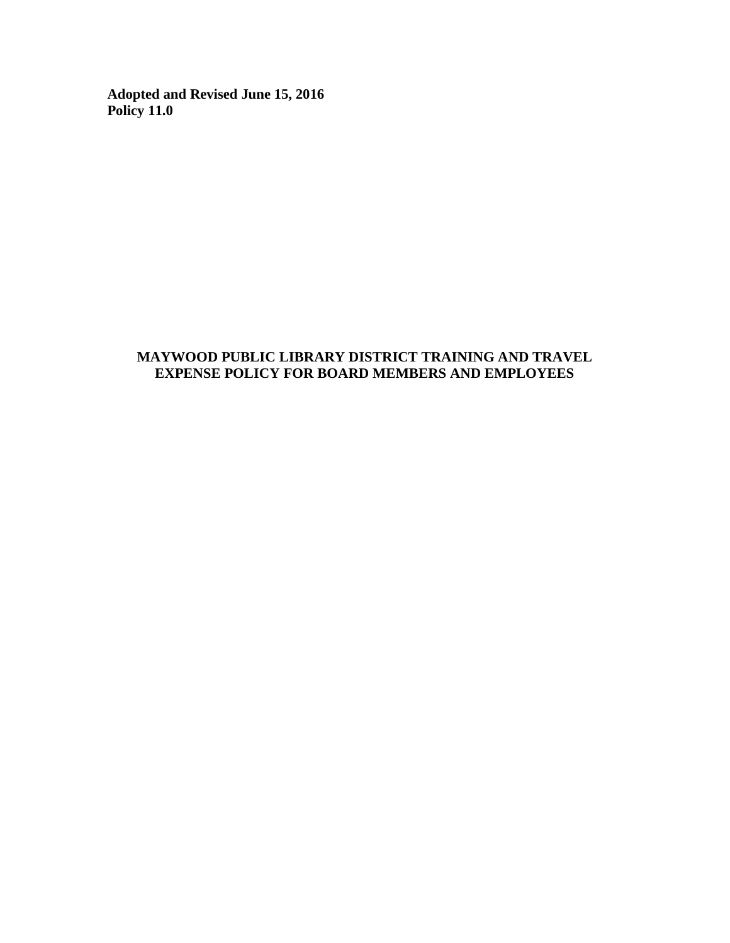**Adopted and Revised June 15, 2016 Policy 11.0**

# **MAYWOOD PUBLIC LIBRARY DISTRICT TRAINING AND TRAVEL EXPENSE POLICY FOR BOARD MEMBERS AND EMPLOYEES**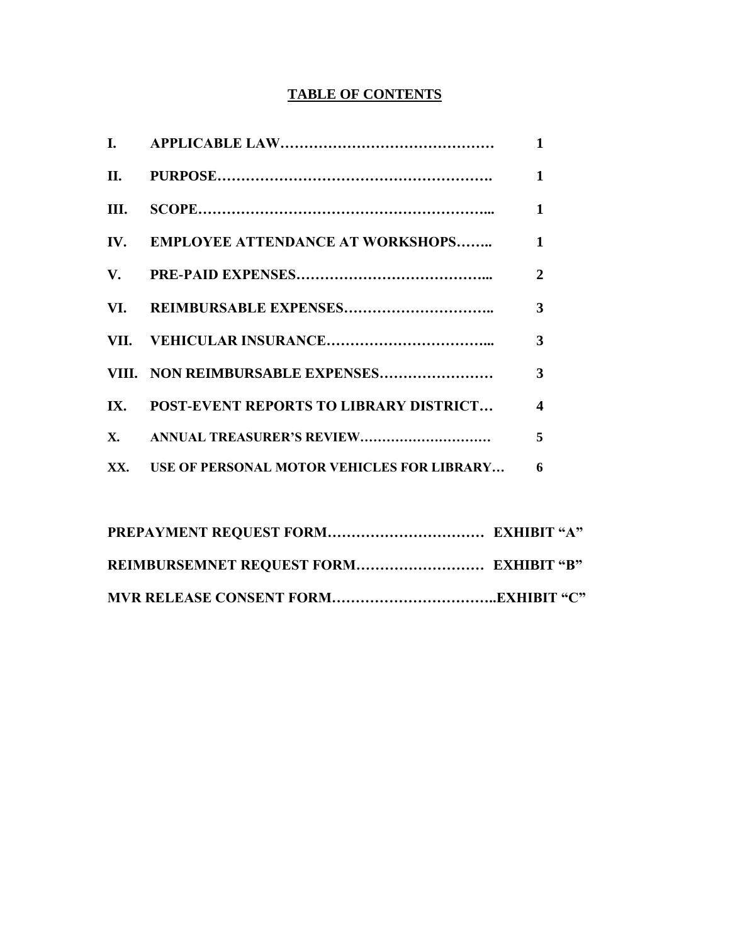# **TABLE OF CONTENTS**

|      |                                                  | $\mathbf{1}$            |
|------|--------------------------------------------------|-------------------------|
|      |                                                  | $\mathbf{1}$            |
| III. |                                                  | $\mathbf{1}$            |
|      | IV. EMPLOYEE ATTENDANCE AT WORKSHOPS 1           |                         |
|      |                                                  | $\mathbf{2}$            |
|      |                                                  | $\mathbf{3}$            |
|      |                                                  | $\overline{\mathbf{3}}$ |
|      |                                                  | 3                       |
|      | IX. POST-EVENT REPORTS TO LIBRARY DISTRICT       | $\overline{\mathbf{4}}$ |
|      |                                                  | 5                       |
|      | XX. USE OF PERSONAL MOTOR VEHICLES FOR LIBRARY 6 |                         |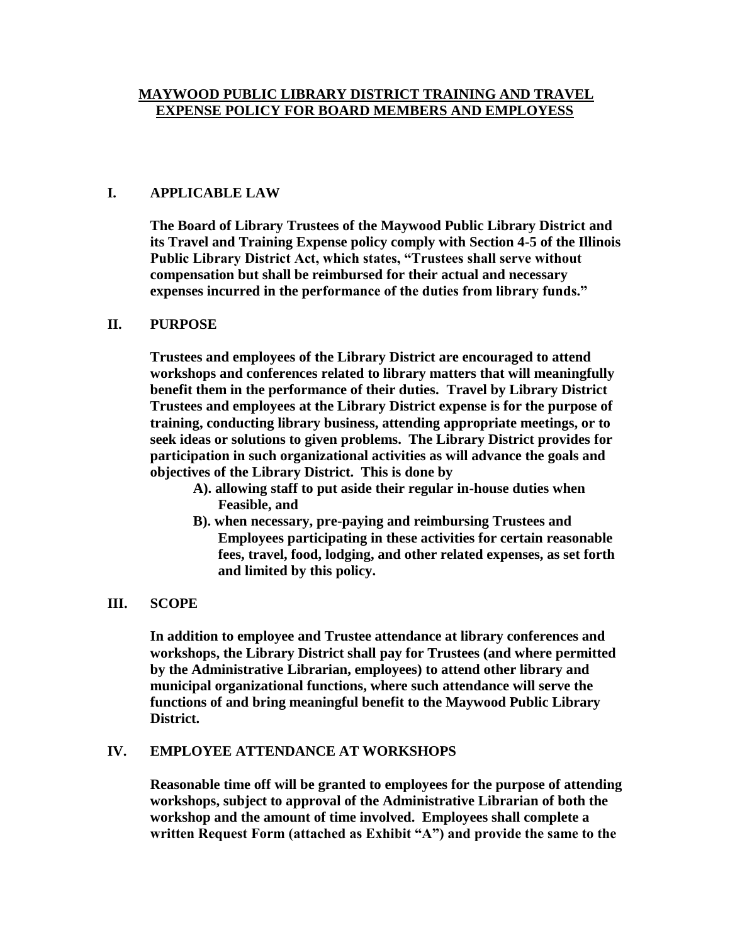## **MAYWOOD PUBLIC LIBRARY DISTRICT TRAINING AND TRAVEL EXPENSE POLICY FOR BOARD MEMBERS AND EMPLOYESS**

## **I. APPLICABLE LAW**

**The Board of Library Trustees of the Maywood Public Library District and its Travel and Training Expense policy comply with Section 4-5 of the Illinois Public Library District Act, which states, "Trustees shall serve without compensation but shall be reimbursed for their actual and necessary expenses incurred in the performance of the duties from library funds."** 

#### **II. PURPOSE**

**Trustees and employees of the Library District are encouraged to attend workshops and conferences related to library matters that will meaningfully benefit them in the performance of their duties. Travel by Library District Trustees and employees at the Library District expense is for the purpose of training, conducting library business, attending appropriate meetings, or to seek ideas or solutions to given problems. The Library District provides for participation in such organizational activities as will advance the goals and objectives of the Library District. This is done by**

- **A). allowing staff to put aside their regular in-house duties when Feasible, and**
- **B). when necessary, pre-paying and reimbursing Trustees and Employees participating in these activities for certain reasonable fees, travel, food, lodging, and other related expenses, as set forth and limited by this policy.**

#### **III. SCOPE**

**In addition to employee and Trustee attendance at library conferences and workshops, the Library District shall pay for Trustees (and where permitted by the Administrative Librarian, employees) to attend other library and municipal organizational functions, where such attendance will serve the functions of and bring meaningful benefit to the Maywood Public Library District.** 

#### **IV. EMPLOYEE ATTENDANCE AT WORKSHOPS**

**Reasonable time off will be granted to employees for the purpose of attending workshops, subject to approval of the Administrative Librarian of both the workshop and the amount of time involved. Employees shall complete a written Request Form (attached as Exhibit "A") and provide the same to the**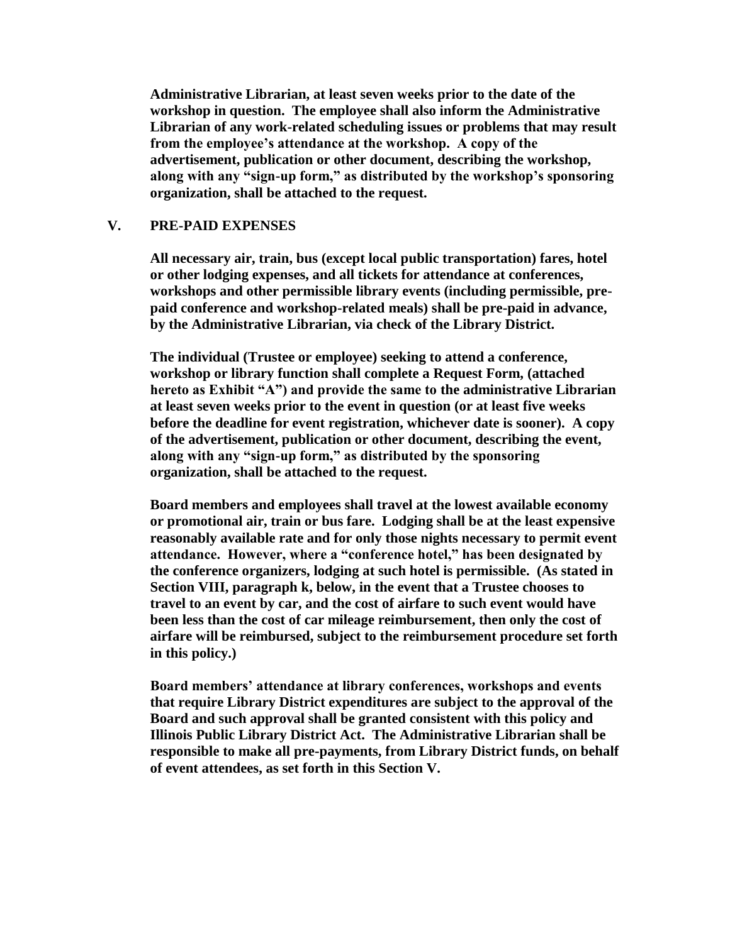**Administrative Librarian, at least seven weeks prior to the date of the workshop in question. The employee shall also inform the Administrative Librarian of any work-related scheduling issues or problems that may result from the employee's attendance at the workshop. A copy of the advertisement, publication or other document, describing the workshop, along with any "sign-up form," as distributed by the workshop's sponsoring organization, shall be attached to the request.** 

#### **V. PRE-PAID EXPENSES**

**All necessary air, train, bus (except local public transportation) fares, hotel or other lodging expenses, and all tickets for attendance at conferences, workshops and other permissible library events (including permissible, prepaid conference and workshop-related meals) shall be pre-paid in advance, by the Administrative Librarian, via check of the Library District.**

**The individual (Trustee or employee) seeking to attend a conference, workshop or library function shall complete a Request Form, (attached hereto as Exhibit "A") and provide the same to the administrative Librarian at least seven weeks prior to the event in question (or at least five weeks before the deadline for event registration, whichever date is sooner). A copy of the advertisement, publication or other document, describing the event, along with any "sign-up form," as distributed by the sponsoring organization, shall be attached to the request.** 

**Board members and employees shall travel at the lowest available economy or promotional air, train or bus fare. Lodging shall be at the least expensive reasonably available rate and for only those nights necessary to permit event attendance. However, where a "conference hotel," has been designated by the conference organizers, lodging at such hotel is permissible. (As stated in Section VIII, paragraph k, below, in the event that a Trustee chooses to travel to an event by car, and the cost of airfare to such event would have been less than the cost of car mileage reimbursement, then only the cost of airfare will be reimbursed, subject to the reimbursement procedure set forth in this policy.)**

**Board members' attendance at library conferences, workshops and events that require Library District expenditures are subject to the approval of the Board and such approval shall be granted consistent with this policy and Illinois Public Library District Act. The Administrative Librarian shall be responsible to make all pre-payments, from Library District funds, on behalf of event attendees, as set forth in this Section V.**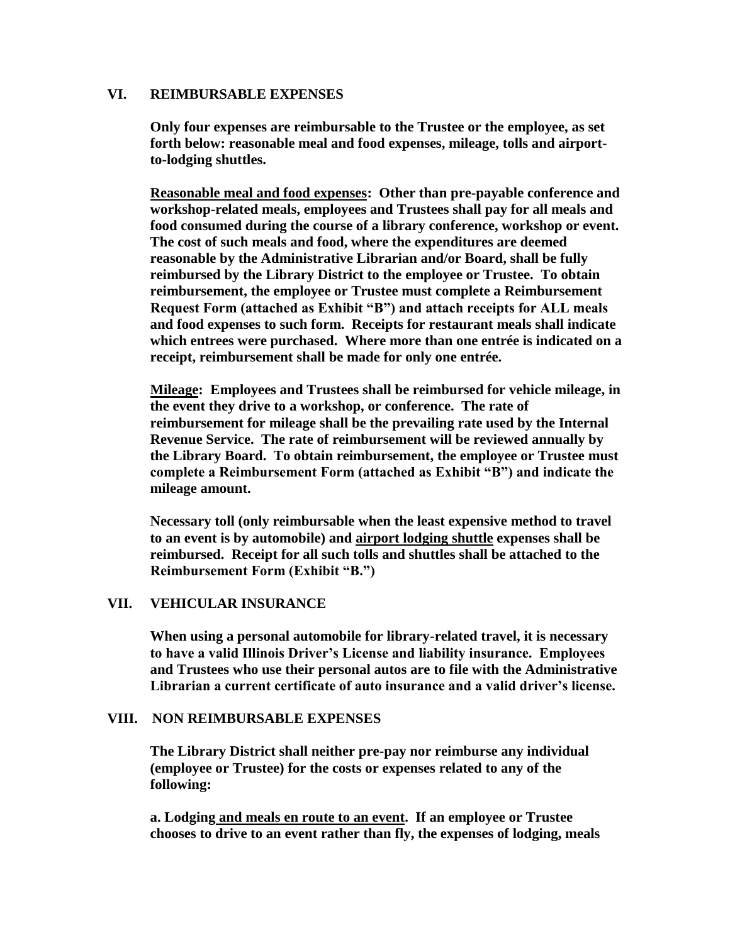#### **VI. REIMBURSABLE EXPENSES**

**Only four expenses are reimbursable to the Trustee or the employee, as set forth below: reasonable meal and food expenses, mileage, tolls and airportto-lodging shuttles.** 

**Reasonable meal and food expenses: Other than pre-payable conference and workshop-related meals, employees and Trustees shall pay for all meals and food consumed during the course of a library conference, workshop or event. The cost of such meals and food, where the expenditures are deemed reasonable by the Administrative Librarian and/or Board, shall be fully reimbursed by the Library District to the employee or Trustee. To obtain reimbursement, the employee or Trustee must complete a Reimbursement Request Form (attached as Exhibit "B") and attach receipts for ALL meals and food expenses to such form. Receipts for restaurant meals shall indicate which entrees were purchased. Where more than one entrée is indicated on a receipt, reimbursement shall be made for only one entrée.**

**Mileage: Employees and Trustees shall be reimbursed for vehicle mileage, in the event they drive to a workshop, or conference. The rate of reimbursement for mileage shall be the prevailing rate used by the Internal Revenue Service. The rate of reimbursement will be reviewed annually by the Library Board. To obtain reimbursement, the employee or Trustee must complete a Reimbursement Form (attached as Exhibit "B") and indicate the mileage amount.** 

**Necessary toll (only reimbursable when the least expensive method to travel to an event is by automobile) and airport lodging shuttle expenses shall be reimbursed. Receipt for all such tolls and shuttles shall be attached to the Reimbursement Form (Exhibit "B.")**

#### **VII. VEHICULAR INSURANCE**

**When using a personal automobile for library-related travel, it is necessary to have a valid Illinois Driver's License and liability insurance. Employees and Trustees who use their personal autos are to file with the Administrative Librarian a current certificate of auto insurance and a valid driver's license.**

#### **VIII. NON REIMBURSABLE EXPENSES**

**The Library District shall neither pre-pay nor reimburse any individual (employee or Trustee) for the costs or expenses related to any of the following:**

**a. Lodging and meals en route to an event. If an employee or Trustee chooses to drive to an event rather than fly, the expenses of lodging, meals**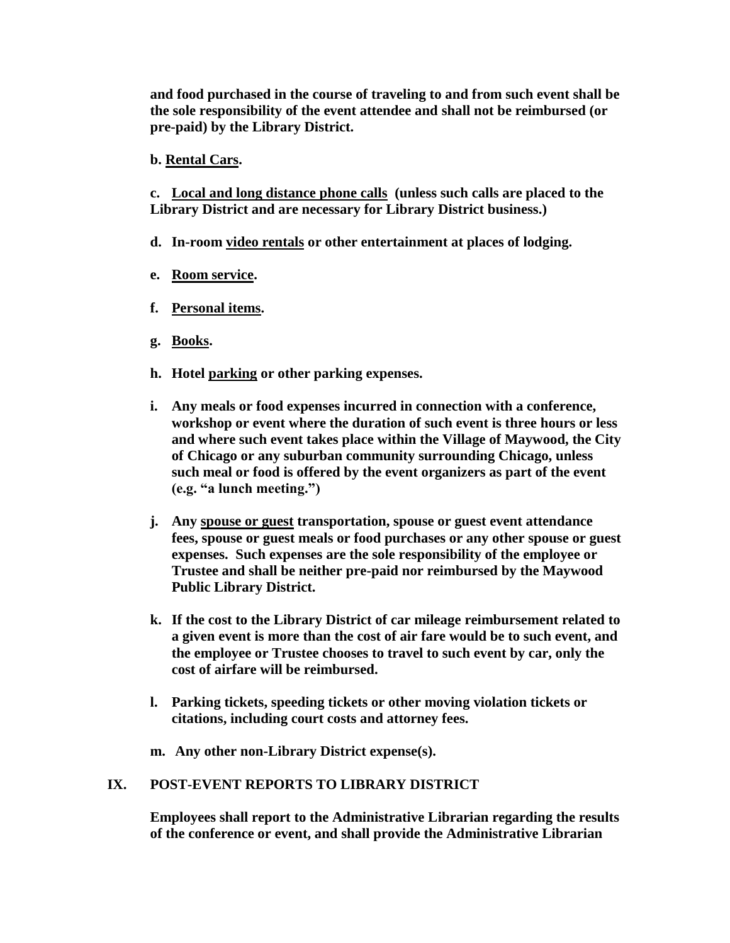**and food purchased in the course of traveling to and from such event shall be the sole responsibility of the event attendee and shall not be reimbursed (or pre-paid) by the Library District.**

**b. Rental Cars.**

**c. Local and long distance phone calls (unless such calls are placed to the Library District and are necessary for Library District business.)**

- **d. In-room video rentals or other entertainment at places of lodging.**
- **e. Room service.**
- **f. Personal items.**
- **g. Books.**
- **h. Hotel parking or other parking expenses.**
- **i. Any meals or food expenses incurred in connection with a conference, workshop or event where the duration of such event is three hours or less and where such event takes place within the Village of Maywood, the City of Chicago or any suburban community surrounding Chicago, unless such meal or food is offered by the event organizers as part of the event (e.g. "a lunch meeting.")**
- **j. Any spouse or guest transportation, spouse or guest event attendance fees, spouse or guest meals or food purchases or any other spouse or guest expenses. Such expenses are the sole responsibility of the employee or Trustee and shall be neither pre-paid nor reimbursed by the Maywood Public Library District.**
- **k. If the cost to the Library District of car mileage reimbursement related to a given event is more than the cost of air fare would be to such event, and the employee or Trustee chooses to travel to such event by car, only the cost of airfare will be reimbursed.**
- **l. Parking tickets, speeding tickets or other moving violation tickets or citations, including court costs and attorney fees.**
- **m. Any other non-Library District expense(s).**

# **IX. POST-EVENT REPORTS TO LIBRARY DISTRICT**

**Employees shall report to the Administrative Librarian regarding the results of the conference or event, and shall provide the Administrative Librarian**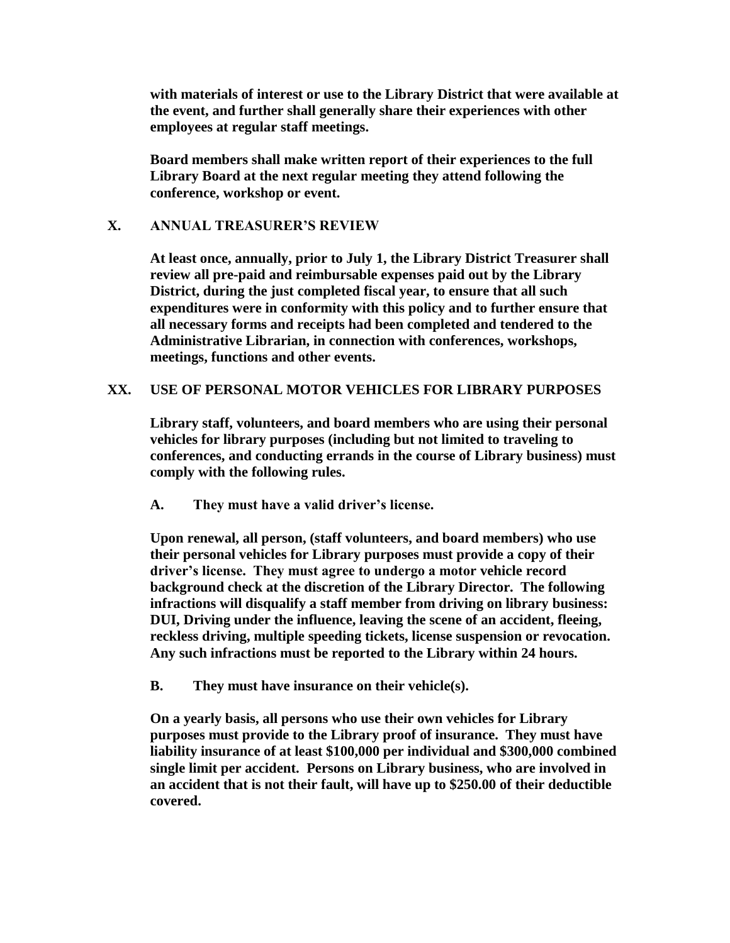**with materials of interest or use to the Library District that were available at the event, and further shall generally share their experiences with other employees at regular staff meetings.**

**Board members shall make written report of their experiences to the full Library Board at the next regular meeting they attend following the conference, workshop or event.**

## **X. ANNUAL TREASURER'S REVIEW**

**At least once, annually, prior to July 1, the Library District Treasurer shall review all pre-paid and reimbursable expenses paid out by the Library District, during the just completed fiscal year, to ensure that all such expenditures were in conformity with this policy and to further ensure that all necessary forms and receipts had been completed and tendered to the Administrative Librarian, in connection with conferences, workshops, meetings, functions and other events.** 

#### **XX. USE OF PERSONAL MOTOR VEHICLES FOR LIBRARY PURPOSES**

**Library staff, volunteers, and board members who are using their personal vehicles for library purposes (including but not limited to traveling to conferences, and conducting errands in the course of Library business) must comply with the following rules.**

**A. They must have a valid driver's license.**

**Upon renewal, all person, (staff volunteers, and board members) who use their personal vehicles for Library purposes must provide a copy of their driver's license. They must agree to undergo a motor vehicle record background check at the discretion of the Library Director. The following infractions will disqualify a staff member from driving on library business: DUI, Driving under the influence, leaving the scene of an accident, fleeing, reckless driving, multiple speeding tickets, license suspension or revocation. Any such infractions must be reported to the Library within 24 hours.**

**B. They must have insurance on their vehicle(s).**

**On a yearly basis, all persons who use their own vehicles for Library purposes must provide to the Library proof of insurance. They must have liability insurance of at least \$100,000 per individual and \$300,000 combined single limit per accident. Persons on Library business, who are involved in an accident that is not their fault, will have up to \$250.00 of their deductible covered.**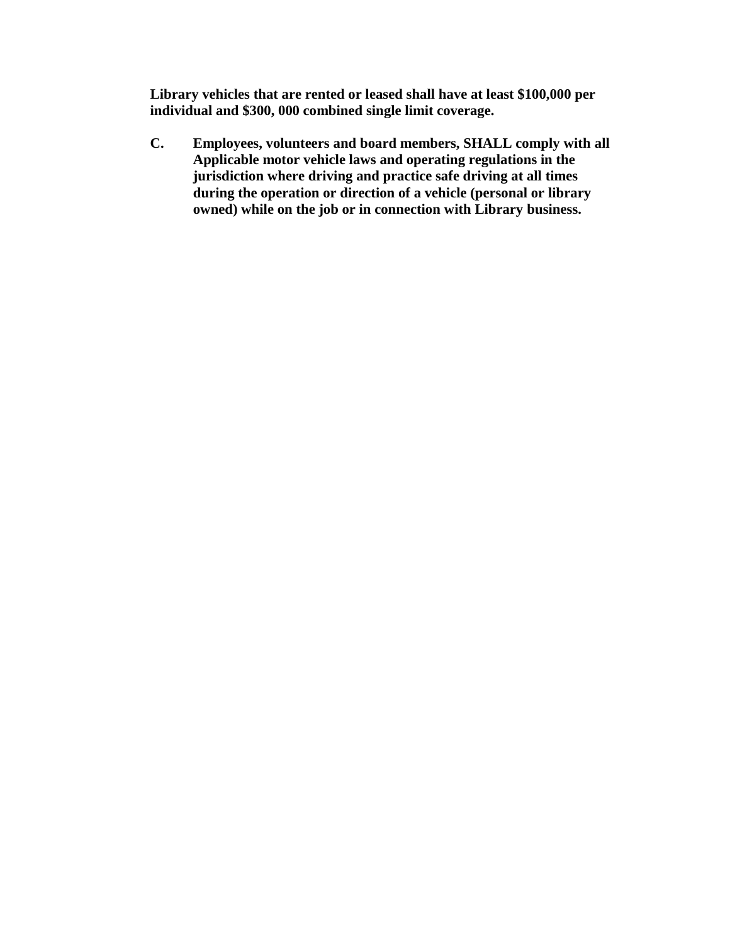**Library vehicles that are rented or leased shall have at least \$100,000 per individual and \$300, 000 combined single limit coverage.**

**C. Employees, volunteers and board members, SHALL comply with all Applicable motor vehicle laws and operating regulations in the jurisdiction where driving and practice safe driving at all times during the operation or direction of a vehicle (personal or library owned) while on the job or in connection with Library business.**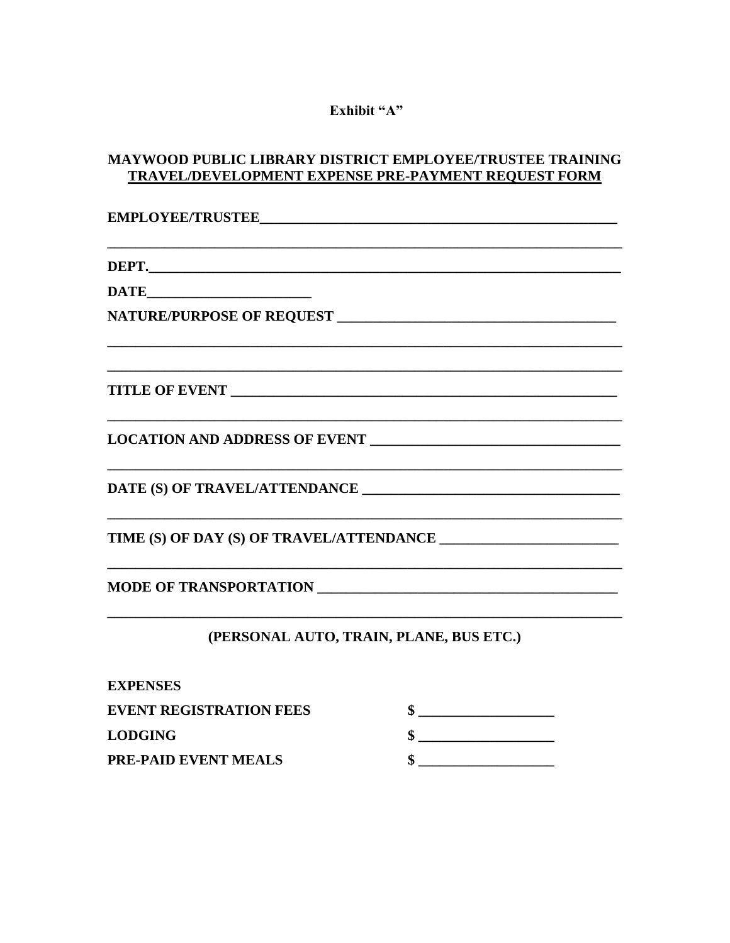# Exhibit "A"

# MAYWOOD PUBLIC LIBRARY DISTRICT EMPLOYEE/TRUSTEE TRAINING TRAVEL/DEVELOPMENT EXPENSE PRE-PAYMENT REQUEST FORM

| and the control of the control of the control of the control of the control of the control of the control of the |                                         |  |  |
|------------------------------------------------------------------------------------------------------------------|-----------------------------------------|--|--|
|                                                                                                                  |                                         |  |  |
|                                                                                                                  |                                         |  |  |
| the control of the control of the control of the control of the control of                                       |                                         |  |  |
|                                                                                                                  | (PERSONAL AUTO, TRAIN, PLANE, BUS ETC.) |  |  |
| <b>EXPENSES</b>                                                                                                  |                                         |  |  |
| <b>EVENT REGISTRATION FEES</b>                                                                                   | $\qquad \qquad \bullet$                 |  |  |
| <b>LODGING</b>                                                                                                   |                                         |  |  |
| <b>PRE-PAID EVENT MEALS</b>                                                                                      | \$.                                     |  |  |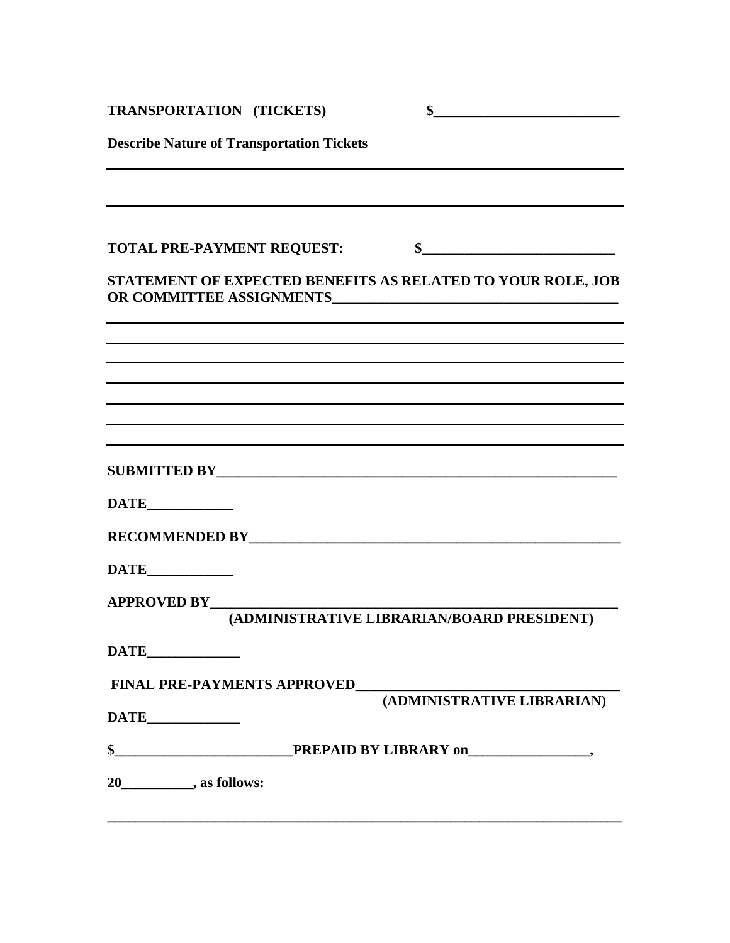| <b>TRANSPORTATION (TICKETS)</b>                                                                                       | $\frac{1}{2}$                              |
|-----------------------------------------------------------------------------------------------------------------------|--------------------------------------------|
| <b>Describe Nature of Transportation Tickets</b>                                                                      |                                            |
|                                                                                                                       |                                            |
| <b>TOTAL PRE-PAYMENT REQUEST:</b>                                                                                     | \$                                         |
| STATEMENT OF EXPECTED BENEFITS AS RELATED TO YOUR ROLE, JOB                                                           |                                            |
| and the control of the control of the control of the control of the control of the control of the control of the      |                                            |
| <u> 1989 - Johann Barn, mars ann an t-Alban ann an t-Alban ann an t-Alban ann an t-Alban ann an t-Alban ann an t-</u> |                                            |
|                                                                                                                       |                                            |
|                                                                                                                       |                                            |
|                                                                                                                       |                                            |
|                                                                                                                       |                                            |
|                                                                                                                       |                                            |
| <b>APPROVED BY________</b>                                                                                            | (ADMINISTRATIVE LIBRARIAN/BOARD PRESIDENT) |
| DATE PARTIE                                                                                                           |                                            |
| <b>FINAL PRE-PAYMENTS APPROVED</b>                                                                                    |                                            |
|                                                                                                                       | (ADMINISTRATIVE LIBRARIAN)                 |
|                                                                                                                       |                                            |
| 20_____________, as follows:                                                                                          |                                            |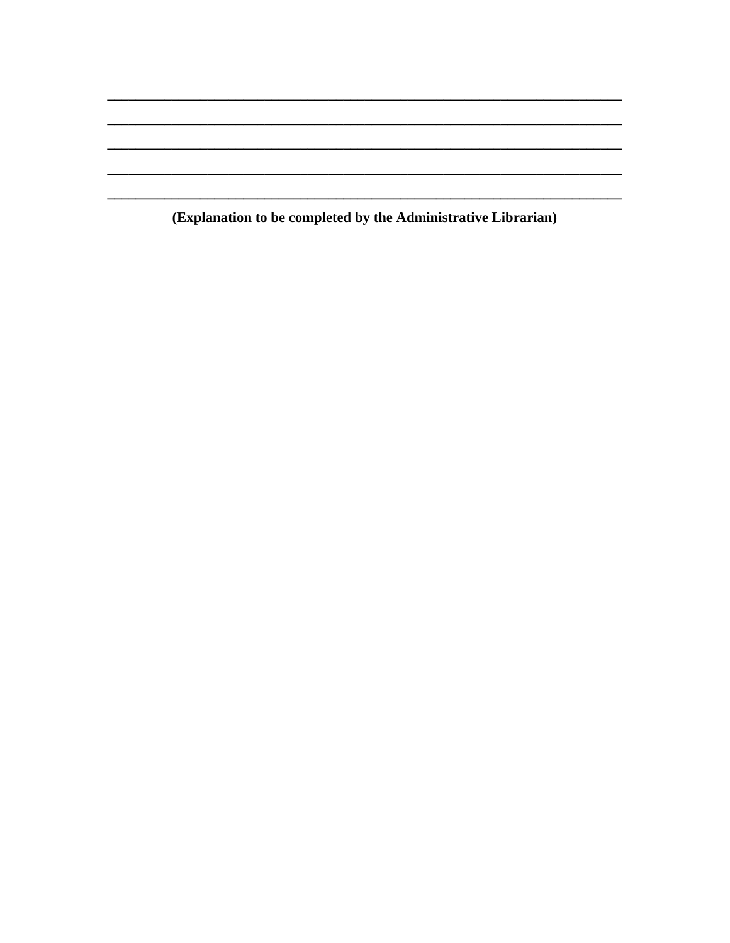(Explanation to be completed by the Administrative Librarian)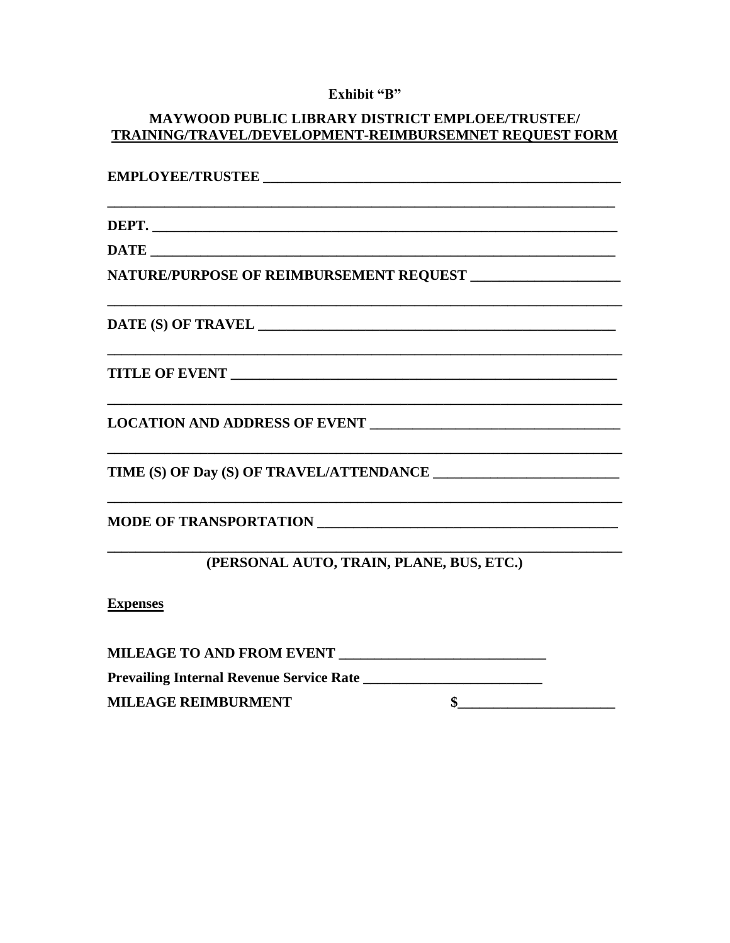# Exhibit "B"

# MAYWOOD PUBLIC LIBRARY DISTRICT EMPLOEE/TRUSTEE/ TRAINING/TRAVEL/DEVELOPMENT-REIMBURSEMNET REQUEST FORM

| NATURE/PURPOSE OF REIMBURSEMENT REQUEST ____________________ |  |  |
|--------------------------------------------------------------|--|--|
|                                                              |  |  |
|                                                              |  |  |
|                                                              |  |  |
|                                                              |  |  |
|                                                              |  |  |
| (PERSONAL AUTO, TRAIN, PLANE, BUS, ETC.)                     |  |  |
| <b>Expenses</b>                                              |  |  |
|                                                              |  |  |
| <b>Prevailing Internal Revenue Service Rate</b>              |  |  |
| \$<br><b>MILEAGE REIMBURMENT</b>                             |  |  |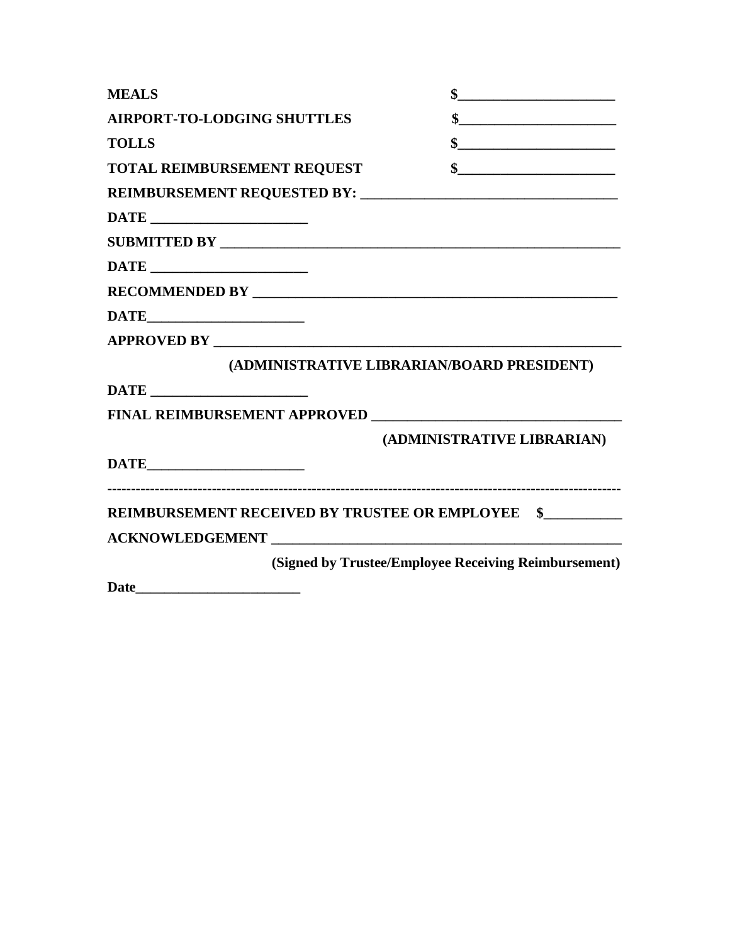| <b>MEALS</b>                                                                                                                                                                                                                   |                                                                                                                                                                                                                                                                                                                                                                                               |
|--------------------------------------------------------------------------------------------------------------------------------------------------------------------------------------------------------------------------------|-----------------------------------------------------------------------------------------------------------------------------------------------------------------------------------------------------------------------------------------------------------------------------------------------------------------------------------------------------------------------------------------------|
| <b>AIRPORT-TO-LODGING SHUTTLES</b>                                                                                                                                                                                             | $\quad \  \  \, {\bf \$} \qquad \qquad \  \  \, \underbrace{\qquad \qquad }$                                                                                                                                                                                                                                                                                                                  |
| <b>TOLLS</b>                                                                                                                                                                                                                   | $\frac{\frac{1}{2} \frac{1}{2} \frac{1}{2} \frac{1}{2} \frac{1}{2} \frac{1}{2} \frac{1}{2} \frac{1}{2} \frac{1}{2} \frac{1}{2} \frac{1}{2} \frac{1}{2} \frac{1}{2} \frac{1}{2} \frac{1}{2} \frac{1}{2} \frac{1}{2} \frac{1}{2} \frac{1}{2} \frac{1}{2} \frac{1}{2} \frac{1}{2} \frac{1}{2} \frac{1}{2} \frac{1}{2} \frac{1}{2} \frac{1}{2} \frac{1}{2} \frac{1}{2} \frac{1}{2} \frac{1}{2} \$ |
| TOTAL REIMBURSEMENT REQUEST                                                                                                                                                                                                    |                                                                                                                                                                                                                                                                                                                                                                                               |
|                                                                                                                                                                                                                                |                                                                                                                                                                                                                                                                                                                                                                                               |
|                                                                                                                                                                                                                                |                                                                                                                                                                                                                                                                                                                                                                                               |
|                                                                                                                                                                                                                                |                                                                                                                                                                                                                                                                                                                                                                                               |
|                                                                                                                                                                                                                                |                                                                                                                                                                                                                                                                                                                                                                                               |
|                                                                                                                                                                                                                                |                                                                                                                                                                                                                                                                                                                                                                                               |
|                                                                                                                                                                                                                                |                                                                                                                                                                                                                                                                                                                                                                                               |
|                                                                                                                                                                                                                                |                                                                                                                                                                                                                                                                                                                                                                                               |
|                                                                                                                                                                                                                                | (ADMINISTRATIVE LIBRARIAN/BOARD PRESIDENT)                                                                                                                                                                                                                                                                                                                                                    |
|                                                                                                                                                                                                                                |                                                                                                                                                                                                                                                                                                                                                                                               |
|                                                                                                                                                                                                                                |                                                                                                                                                                                                                                                                                                                                                                                               |
|                                                                                                                                                                                                                                | (ADMINISTRATIVE LIBRARIAN)                                                                                                                                                                                                                                                                                                                                                                    |
|                                                                                                                                                                                                                                |                                                                                                                                                                                                                                                                                                                                                                                               |
| REIMBURSEMENT RECEIVED BY TRUSTEE OR EMPLOYEE \$                                                                                                                                                                               |                                                                                                                                                                                                                                                                                                                                                                                               |
| ACKNOWLEDGEMENT POWERFOLL AND THE CONTROL CONTROL CONTROL CONTROL CONTROL CONTROL CONTROL CONTROL CONTROL CONTROL CONTROL CONTROL CONTROL CONTROL CONTROL CONTROL CONTROL CONTROL CONTROL CONTROL CONTROL CONTROL CONTROL CONT |                                                                                                                                                                                                                                                                                                                                                                                               |
|                                                                                                                                                                                                                                | (Signed by Trustee/Employee Receiving Reimbursement)                                                                                                                                                                                                                                                                                                                                          |
| Date                                                                                                                                                                                                                           |                                                                                                                                                                                                                                                                                                                                                                                               |